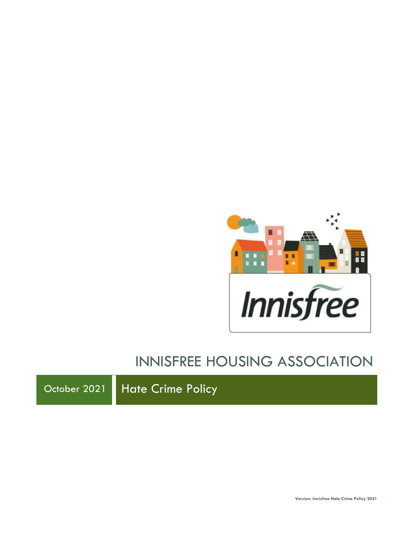

# INNISFREE HOUSING ASSOCIATION

October 2021 | Hate Crime Policy

**Version: Innisfree Hate Crime Policy 2021**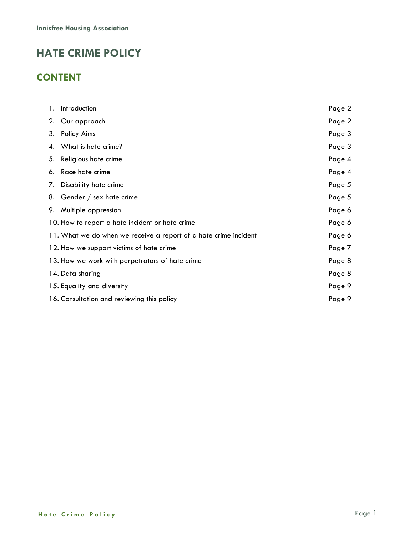### **HATE CRIME POLICY**

### **CONTENT**

| 1. | Introduction                                                     | Page 2 |
|----|------------------------------------------------------------------|--------|
|    | 2. Our approach                                                  | Page 2 |
|    | 3. Policy Aims                                                   | Page 3 |
|    | 4. What is hate crime?                                           | Page 3 |
|    | 5. Religious hate crime                                          | Page 4 |
|    | 6. Race hate crime                                               | Page 4 |
|    | 7. Disability hate crime                                         | Page 5 |
|    | 8. Gender / sex hate crime                                       | Page 5 |
|    | 9. Multiple oppression                                           | Page 6 |
|    | 10. How to report a hate incident or hate crime                  | Page 6 |
|    | 11. What we do when we receive a report of a hate crime incident | Page 6 |
|    | 12. How we support victims of hate crime                         | Page 7 |
|    | 13. How we work with perpetrators of hate crime                  | Page 8 |
|    | 14. Data sharing                                                 | Page 8 |
|    | 15. Equality and diversity                                       | Page 9 |
|    | 16. Consultation and reviewing this policy                       | Page 9 |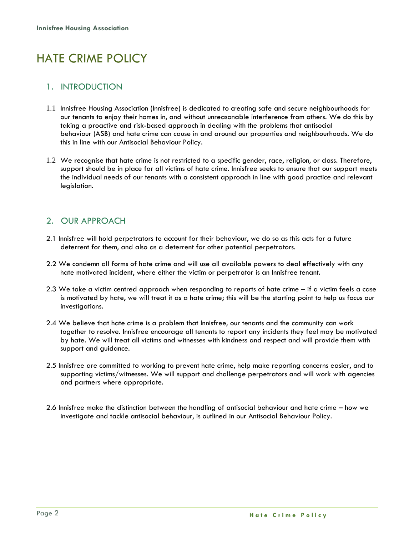## HATE CRIME POLICY

#### 1. INTRODUCTION

- 1.1 Innisfree Housing Association (Innisfree) is dedicated to creating safe and secure neighbourhoods for our tenants to enjoy their homes in, and without unreasonable interference from others. We do this by taking a proactive and risk-based approach in dealing with the problems that antisocial behaviour (ASB) and hate crime can cause in and around our properties and neighbourhoods. We do this in line with our Antisocial Behaviour Policy.
- 1.2 We recognise that hate crime is not restricted to a specific gender, race, religion, or class. Therefore, support should be in place for all victims of hate crime. Innisfree seeks to ensure that our support meets the individual needs of our tenants with a consistent approach in line with good practice and relevant legislation.

#### 2. OUR APPROACH

- 2.1 Innisfree will hold perpetrators to account for their behaviour, we do so as this acts for a future deterrent for them, and also as a deterrent for other potential perpetrators.
- 2.2 We condemn all forms of hate crime and will use all available powers to deal effectively with any hate motivated incident, where either the victim or perpetrator is an Innisfree tenant.
- 2.3 We take a victim centred approach when responding to reports of hate crime if a victim feels a case is motivated by hate, we will treat it as a hate crime; this will be the starting point to help us focus our investigations.
- 2.4 We believe that hate crime is a problem that Innisfree, our tenants and the community can work together to resolve. Innisfree encourage all tenants to report any incidents they feel may be motivated by hate. We will treat all victims and witnesses with kindness and respect and will provide them with support and guidance.
- 2.5 Innisfree are committed to working to prevent hate crime, help make reporting concerns easier, and to supporting victims/witnesses. We will support and challenge perpetrators and will work with agencies and partners where appropriate.
- 2.6 Innisfree make the distinction between the handling of antisocial behaviour and hate crime how we investigate and tackle antisocial behaviour, is outlined in our Antisocial Behaviour Policy.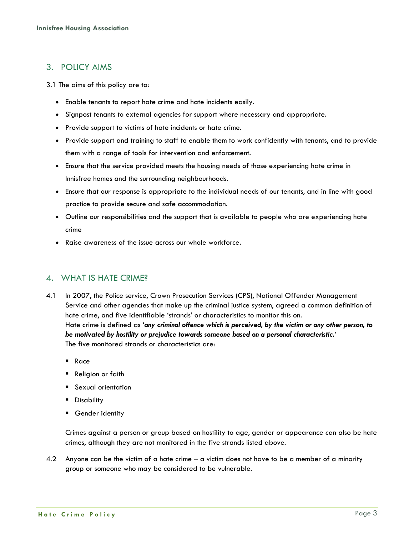#### 3. POLICY AIMS

3.1 The aims of this policy are to:

- Enable tenants to report hate crime and hate incidents easily.
- Signpost tenants to external agencies for support where necessary and appropriate.
- Provide support to victims of hate incidents or hate crime.
- Provide support and training to staff to enable them to work confidently with tenants, and to provide them with a range of tools for intervention and enforcement.
- Ensure that the service provided meets the housing needs of those experiencing hate crime in Innisfree homes and the surrounding neighbourhoods.
- Ensure that our response is appropriate to the individual needs of our tenants, and in line with good practice to provide secure and safe accommodation.
- Outline our responsibilities and the support that is available to people who are experiencing hate crime
- Raise awareness of the issue across our whole workforce.

#### 4. WHAT IS HATE CRIME?

- 4.1 In 2007, the Police service, Crown Prosecution Services (CPS), National Offender Management Service and other agencies that make up the criminal justice system, agreed a common definition of hate crime, and five identifiable 'strands' or characteristics to monitor this on. Hate crime is defined as '*any criminal offence which is perceived, by the victim or any other person, to be motivated by hostility or prejudice towards someone based on a personal characteristic.*' The five monitored strands or characteristics are:
	- Race
	- Religion or faith
	- Sexual orientation
	- Disability
	- Gender identity

Crimes against a person or group based on hostility to age, gender or appearance can also be hate crimes, although they are not monitored in the five strands listed above.

4.2 Anyone can be the victim of a hate crime – a victim does not have to be a member of a minority group or someone who may be considered to be vulnerable.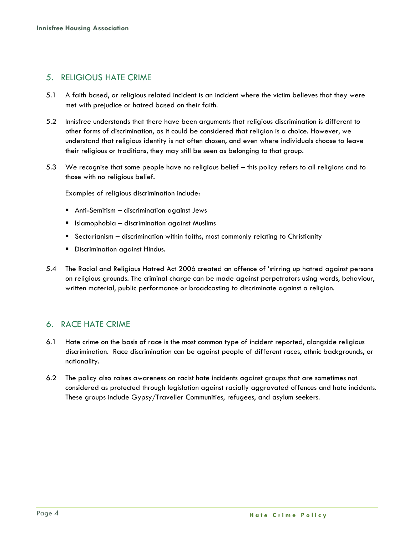#### 5. RELIGIOUS HATE CRIME

- 5.1 A faith based, or religious related incident is an incident where the victim believes that they were met with prejudice or hatred based on their faith.
- 5.2 Innisfree understands that there have been arguments that religious discrimination is different to other forms of discrimination, as it could be considered that religion is a choice. However, we understand that religious identity is not often chosen, and even where individuals choose to leave their religious or traditions, they may still be seen as belonging to that group.
- 5.3 We recognise that some people have no religious belief this policy refers to all religions and to those with no religious belief.

Examples of religious discrimination include:

- Anti-Semitism discrimination against Jews
- Islamophobia discrimination against Muslims
- Sectarianism discrimination within faiths, most commonly relating to Christianity
- **■** Discrimination against Hindus.
- 5.4 The Racial and Religious Hatred Act 2006 created an offence of 'stirring up hatred against persons on religious grounds. The criminal charge can be made against perpetrators using words, behaviour, written material, public performance or broadcasting to discriminate against a religion.

#### 6. RACE HATE CRIME

- 6.1 Hate crime on the basis of race is the most common type of incident reported, alongside religious discrimination. Race discrimination can be against people of different races, ethnic backgrounds, or nationality.
- 6.2 The policy also raises awareness on racist hate incidents against groups that are sometimes not considered as protected through legislation against racially aggravated offences and hate incidents. These groups include Gypsy/Traveller Communities, refugees, and asylum seekers.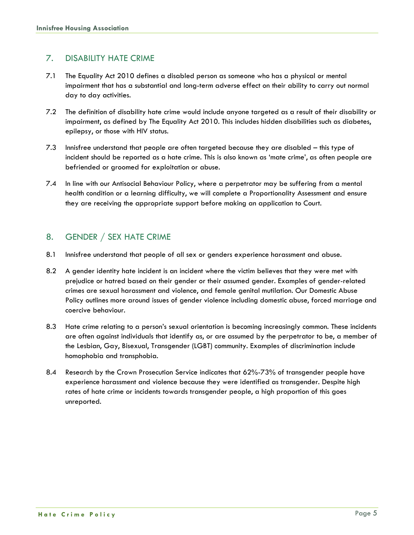#### 7. DISABILITY HATE CRIME

- 7.1 The Equality Act 2010 defines a disabled person as someone who has a physical or mental impairment that has a substantial and long-term adverse effect on their ability to carry out normal day to day activities.
- 7.2 The definition of disability hate crime would include anyone targeted as a result of their disability or impairment, as defined by The Equality Act 2010. This includes hidden disabilities such as diabetes, epilepsy, or those with HIV status.
- 7.3 Innisfree understand that people are often targeted because they are disabled this type of incident should be reported as a hate crime. This is also known as 'mate crime', as often people are befriended or groomed for exploitation or abuse.
- 7.4 In line with our Antisocial Behaviour Policy, where a perpetrator may be suffering from a mental health condition or a learning difficulty, we will complete a Proportionality Assessment and ensure they are receiving the appropriate support before making an application to Court.

#### 8. GENDER / SEX HATE CRIME

- 8.1 Innisfree understand that people of all sex or genders experience harassment and abuse.
- 8.2 A gender identity hate incident is an incident where the victim believes that they were met with prejudice or hatred based on their gender or their assumed gender. Examples of gender-related crimes are sexual harassment and violence, and female genital mutilation. Our Domestic Abuse Policy outlines more around issues of gender violence including domestic abuse, forced marriage and coercive behaviour.
- 8.3 Hate crime relating to a person's sexual orientation is becoming increasingly common. These incidents are often against individuals that identify as, or are assumed by the perpetrator to be, a member of the Lesbian, Gay, Bisexual, Transgender (LGBT) community. Examples of discrimination include homophobia and transphobia.
- 8.4 Research by the Crown Prosecution Service indicates that 62%-73% of transgender people have experience harassment and violence because they were identified as transgender. Despite high rates of hate crime or incidents towards transgender people, a high proportion of this goes unreported.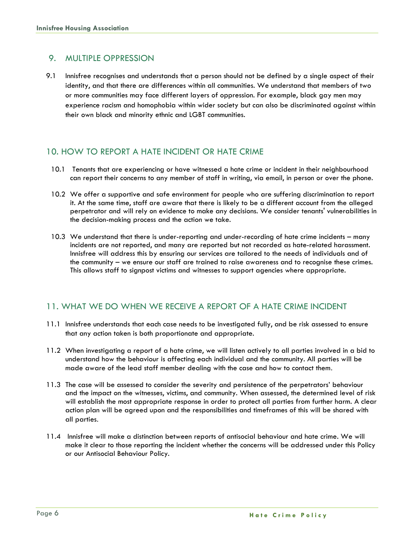#### 9. MULTIPLE OPPRESSION

9.1 Innisfree recognises and understands that a person should not be defined by a single aspect of their identity, and that there are differences within all communities. We understand that members of two or more communities may face different layers of oppression. For example, black gay men may experience racism and homophobia within wider society but can also be discriminated against within their own black and minority ethnic and LGBT communities.

#### 10. HOW TO REPORT A HATE INCIDENT OR HATE CRIME

- 10.1 Tenants that are experiencing or have witnessed a hate crime or incident in their neighbourhood can report their concerns to any member of staff in writing, via email, in person or over the phone.
- 10.2 We offer a supportive and safe environment for people who are suffering discrimination to report it. At the same time, staff are aware that there is likely to be a different account from the alleged perpetrator and will rely on evidence to make any decisions. We consider tenants' vulnerabilities in the decision-making process and the action we take.
- 10.3 We understand that there is under-reporting and under-recording of hate crime incidents many incidents are not reported, and many are reported but not recorded as hate-related harassment. Innisfree will address this by ensuring our services are tailored to the needs of individuals and of the community – we ensure our staff are trained to raise awareness and to recognise these crimes. This allows staff to signpost victims and witnesses to support agencies where appropriate.

#### 11. WHAT WE DO WHEN WE RECEIVE A REPORT OF A HATE CRIME INCIDENT

- 11.1 Innisfree understands that each case needs to be investigated fully, and be risk assessed to ensure that any action taken is both proportionate and appropriate.
- 11.2 When investigating a report of a hate crime, we will listen actively to all parties involved in a bid to understand how the behaviour is affecting each individual and the community. All parties will be made aware of the lead staff member dealing with the case and how to contact them.
- 11.3 The case will be assessed to consider the severity and persistence of the perpetrators' behaviour and the impact on the witnesses, victims, and community. When assessed, the determined level of risk will establish the most appropriate response in order to protect all parties from further harm. A clear action plan will be agreed upon and the responsibilities and timeframes of this will be shared with all parties.
- 11.4 Innisfree will make a distinction between reports of antisocial behaviour and hate crime. We will make it clear to those reporting the incident whether the concerns will be addressed under this Policy or our Antisocial Behaviour Policy.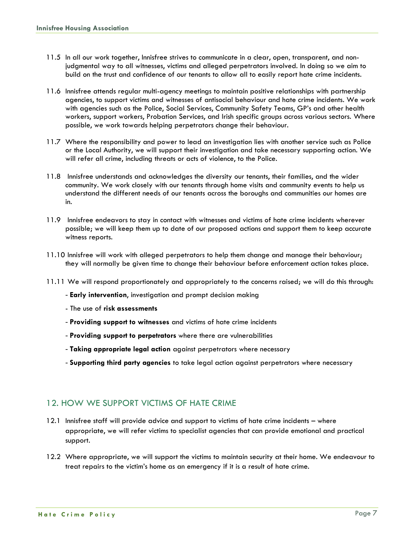- 11.5 In all our work together, Innisfree strives to communicate in a clear, open, transparent, and nonjudgmental way to all witnesses, victims and alleged perpetrators involved. In doing so we aim to build on the trust and confidence of our tenants to allow all to easily report hate crime incidents.
- 11.6 Innisfree attends regular multi-agency meetings to maintain positive relationships with partnership agencies, to support victims and witnesses of antisocial behaviour and hate crime incidents. We work with agencies such as the Police, Social Services, Community Safety Teams, GP's and other health workers, support workers, Probation Services, and Irish specific groups across various sectors. Where possible, we work towards helping perpetrators change their behaviour.
- 11.7 Where the responsibility and power to lead an investigation lies with another service such as Police or the Local Authority, we will support their investigation and take necessary supporting action. We will refer all crime, including threats or acts of violence, to the Police.
- 11.8 Innisfree understands and acknowledges the diversity our tenants, their families, and the wider community. We work closely with our tenants through home visits and community events to help us understand the different needs of our tenants across the boroughs and communities our homes are in.
- 11.9 Innisfree endeavors to stay in contact with witnesses and victims of hate crime incidents wherever possible; we will keep them up to date of our proposed actions and support them to keep accurate witness reports.
- 11.10 Innisfree will work with alleged perpetrators to help them change and manage their behaviour; they will normally be given time to change their behaviour before enforcement action takes place.
- 11.11 We will respond proportionately and appropriately to the concerns raised; we will do this through:
	- **Early intervention**, investigation and prompt decision making
	- The use of **risk assessments**
	- **Providing support to witnesses** and victims of hate crime incidents
	- **Providing support to perpetrators** where there are vulnerabilities
	- **Taking appropriate legal action** against perpetrators where necessary
	- **Supporting third party agencies** to take legal action against perpetrators where necessary

#### 12. HOW WE SUPPORT VICTIMS OF HATE CRIME

- 12.1 Innisfree staff will provide advice and support to victims of hate crime incidents where appropriate, we will refer victims to specialist agencies that can provide emotional and practical support.
- 12.2 Where appropriate, we will support the victims to maintain security at their home. We endeavour to treat repairs to the victim's home as an emergency if it is a result of hate crime.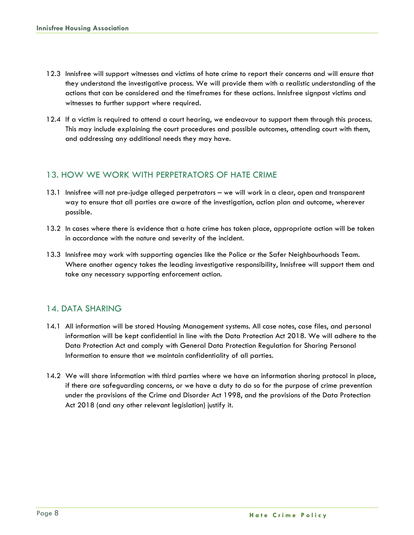- 12.3 Innisfree will support witnesses and victims of hate crime to report their concerns and will ensure that they understand the investigative process. We will provide them with a realistic understanding of the actions that can be considered and the timeframes for these actions. Innisfree signpost victims and witnesses to further support where required.
- 12.4 If a victim is required to attend a court hearing, we endeavour to support them through this process. This may include explaining the court procedures and possible outcomes, attending court with them, and addressing any additional needs they may have.

#### 13. HOW WE WORK WITH PERPETRATORS OF HATE CRIME

- 13.1 Innisfree will not pre-judge alleged perpetrators we will work in a clear, open and transparent way to ensure that all parties are aware of the investigation, action plan and outcome, wherever possible.
- 13.2 In cases where there is evidence that a hate crime has taken place, appropriate action will be taken in accordance with the nature and severity of the incident.
- 13.3 Innisfree may work with supporting agencies like the Police or the Safer Neighbourhoods Team. Where another agency takes the leading investigative responsibility, Innisfree will support them and take any necessary supporting enforcement action.

#### 14. DATA SHARING

- 14.1 All information will be stored Housing Management systems. All case notes, case files, and personal information will be kept confidential in line with the Data Protection Act 2018. We will adhere to the Data Protection Act and comply with General Data Protection Regulation for Sharing Personal Information to ensure that we maintain confidentiality of all parties.
- 14.2 We will share information with third parties where we have an information sharing protocol in place, if there are safeguarding concerns, or we have a duty to do so for the purpose of crime prevention under the provisions of the Crime and Disorder Act 1998, and the provisions of the Data Protection Act 2018 (and any other relevant legislation) justify it.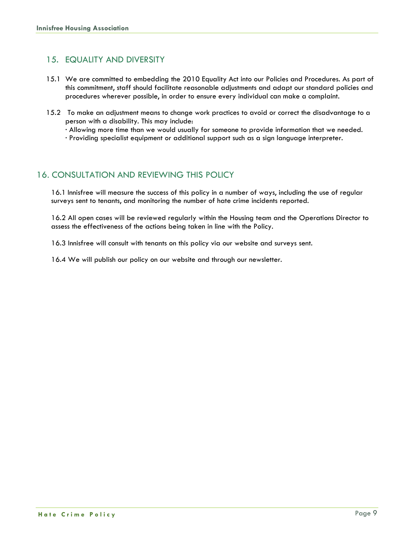#### 15. EQUALITY AND DIVERSITY

- 15.1 We are committed to embedding the 2010 Equality Act into our Policies and Procedures. As part of this commitment, staff should facilitate reasonable adjustments and adapt our standard policies and procedures wherever possible, in order to ensure every individual can make a complaint.
- 15.2 To make an adjustment means to change work practices to avoid or correct the disadvantage to a person with a disability. This may include:
	- · Allowing more time than we would usually for someone to provide information that we needed.
	- · Providing specialist equipment or additional support such as a sign language interpreter.

#### 16. CONSULTATION AND REVIEWING THIS POLICY

16.1 Innisfree will measure the success of this policy in a number of ways, including the use of regular surveys sent to tenants, and monitoring the number of hate crime incidents reported.

16.2 All open cases will be reviewed regularly within the Housing team and the Operations Director to assess the effectiveness of the actions being taken in line with the Policy.

16.3 Innisfree will consult with tenants on this policy via our website and surveys sent.

16.4 We will publish our policy on our website and through our newsletter.